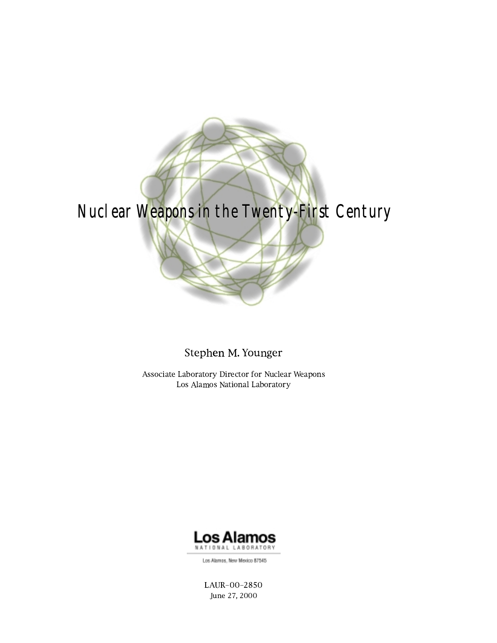

Stephen M. Younger

Associate Laboratory Director for Nuclear Weapons Los Alamos National Laboratory



Los Alamos, New Mexico 87545

LAUR-00-2850 June 27, 2000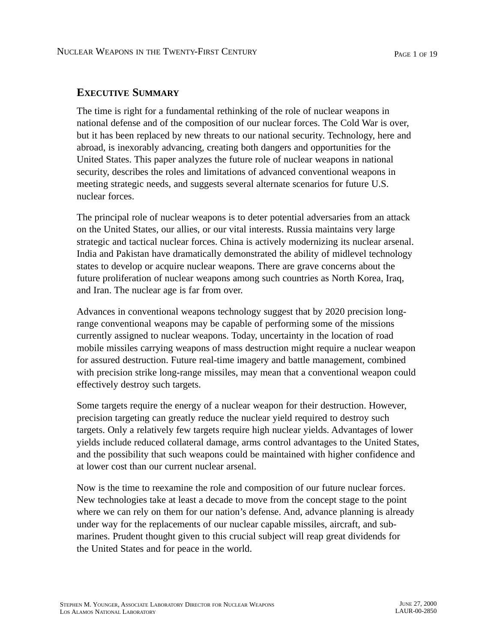# **EXECUTIVE SUMMARY**

The time is right for a fundamental rethinking of the role of nuclear weapons in national defense and of the composition of our nuclear forces. The Cold War is over, but it has been replaced by new threats to our national security. Technology, here and abroad, is inexorably advancing, creating both dangers and opportunities for the United States. This paper analyzes the future role of nuclear weapons in national security, describes the roles and limitations of advanced conventional weapons in meeting strategic needs, and suggests several alternate scenarios for future U.S. nuclear forces.

The principal role of nuclear weapons is to deter potential adversaries from an attack on the United States, our allies, or our vital interests. Russia maintains very large strategic and tactical nuclear forces. China is actively modernizing its nuclear arsenal. India and Pakistan have dramatically demonstrated the ability of midlevel technology states to develop or acquire nuclear weapons. There are grave concerns about the future proliferation of nuclear weapons among such countries as North Korea, Iraq, and Iran. The nuclear age is far from over.

Advances in conventional weapons technology suggest that by 2020 precision longrange conventional weapons may be capable of performing some of the missions currently assigned to nuclear weapons. Today, uncertainty in the location of road mobile missiles carrying weapons of mass destruction might require a nuclear weapon for assured destruction. Future real-time imagery and battle management, combined with precision strike long-range missiles, may mean that a conventional weapon could effectively destroy such targets.

Some targets require the energy of a nuclear weapon for their destruction. However, precision targeting can greatly reduce the nuclear yield required to destroy such targets. Only a relatively few targets require high nuclear yields. Advantages of lower yields include reduced collateral damage, arms control advantages to the United States, and the possibility that such weapons could be maintained with higher confidence and at lower cost than our current nuclear arsenal.

Now is the time to reexamine the role and composition of our future nuclear forces. New technologies take at least a decade to move from the concept stage to the point where we can rely on them for our nation's defense. And, advance planning is already under way for the replacements of our nuclear capable missiles, aircraft, and submarines. Prudent thought given to this crucial subject will reap great dividends for the United States and for peace in the world.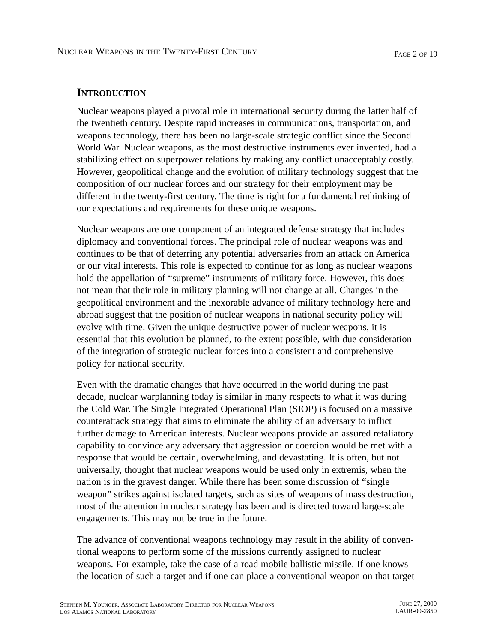### **INTRODUCTION**

Nuclear weapons played a pivotal role in international security during the latter half of the twentieth century. Despite rapid increases in communications, transportation, and weapons technology, there has been no large-scale strategic conflict since the Second World War. Nuclear weapons, as the most destructive instruments ever invented, had a stabilizing effect on superpower relations by making any conflict unacceptably costly. However, geopolitical change and the evolution of military technology suggest that the composition of our nuclear forces and our strategy for their employment may be different in the twenty-first century. The time is right for a fundamental rethinking of our expectations and requirements for these unique weapons.

Nuclear weapons are one component of an integrated defense strategy that includes diplomacy and conventional forces. The principal role of nuclear weapons was and continues to be that of deterring any potential adversaries from an attack on America or our vital interests. This role is expected to continue for as long as nuclear weapons hold the appellation of "supreme" instruments of military force. However, this does not mean that their role in military planning will not change at all. Changes in the geopolitical environment and the inexorable advance of military technology here and abroad suggest that the position of nuclear weapons in national security policy will evolve with time. Given the unique destructive power of nuclear weapons, it is essential that this evolution be planned, to the extent possible, with due consideration of the integration of strategic nuclear forces into a consistent and comprehensive policy for national security.

Even with the dramatic changes that have occurred in the world during the past decade, nuclear warplanning today is similar in many respects to what it was during the Cold War. The Single Integrated Operational Plan (SIOP) is focused on a massive counterattack strategy that aims to eliminate the ability of an adversary to inflict further damage to American interests. Nuclear weapons provide an assured retaliatory capability to convince any adversary that aggression or coercion would be met with a response that would be certain, overwhelming, and devastating. It is often, but not universally, thought that nuclear weapons would be used only in extremis, when the nation is in the gravest danger. While there has been some discussion of "single weapon" strikes against isolated targets, such as sites of weapons of mass destruction, most of the attention in nuclear strategy has been and is directed toward large-scale engagements. This may not be true in the future.

The advance of conventional weapons technology may result in the ability of conventional weapons to perform some of the missions currently assigned to nuclear weapons. For example, take the case of a road mobile ballistic missile. If one knows the location of such a target and if one can place a conventional weapon on that target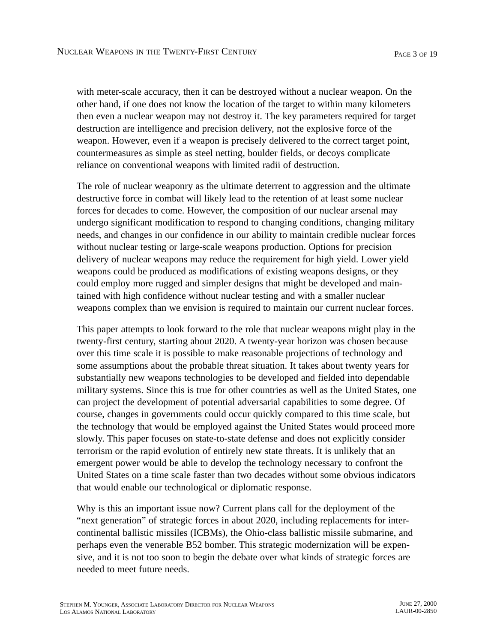with meter-scale accuracy, then it can be destroyed without a nuclear weapon. On the other hand, if one does not know the location of the target to within many kilometers then even a nuclear weapon may not destroy it. The key parameters required for target destruction are intelligence and precision delivery, not the explosive force of the weapon. However, even if a weapon is precisely delivered to the correct target point, countermeasures as simple as steel netting, boulder fields, or decoys complicate reliance on conventional weapons with limited radii of destruction.

The role of nuclear weaponry as the ultimate deterrent to aggression and the ultimate destructive force in combat will likely lead to the retention of at least some nuclear forces for decades to come. However, the composition of our nuclear arsenal may undergo significant modification to respond to changing conditions, changing military needs, and changes in our confidence in our ability to maintain credible nuclear forces without nuclear testing or large-scale weapons production. Options for precision delivery of nuclear weapons may reduce the requirement for high yield. Lower yield weapons could be produced as modifications of existing weapons designs, or they could employ more rugged and simpler designs that might be developed and maintained with high confidence without nuclear testing and with a smaller nuclear weapons complex than we envision is required to maintain our current nuclear forces.

This paper attempts to look forward to the role that nuclear weapons might play in the twenty-first century, starting about 2020. A twenty-year horizon was chosen because over this time scale it is possible to make reasonable projections of technology and some assumptions about the probable threat situation. It takes about twenty years for substantially new weapons technologies to be developed and fielded into dependable military systems. Since this is true for other countries as well as the United States, one can project the development of potential adversarial capabilities to some degree. Of course, changes in governments could occur quickly compared to this time scale, but the technology that would be employed against the United States would proceed more slowly. This paper focuses on state-to-state defense and does not explicitly consider terrorism or the rapid evolution of entirely new state threats. It is unlikely that an emergent power would be able to develop the technology necessary to confront the United States on a time scale faster than two decades without some obvious indicators that would enable our technological or diplomatic response.

Why is this an important issue now? Current plans call for the deployment of the "next generation" of strategic forces in about 2020, including replacements for intercontinental ballistic missiles (ICBMs), the Ohio-class ballistic missile submarine, and perhaps even the venerable B52 bomber. This strategic modernization will be expensive, and it is not too soon to begin the debate over what kinds of strategic forces are needed to meet future needs.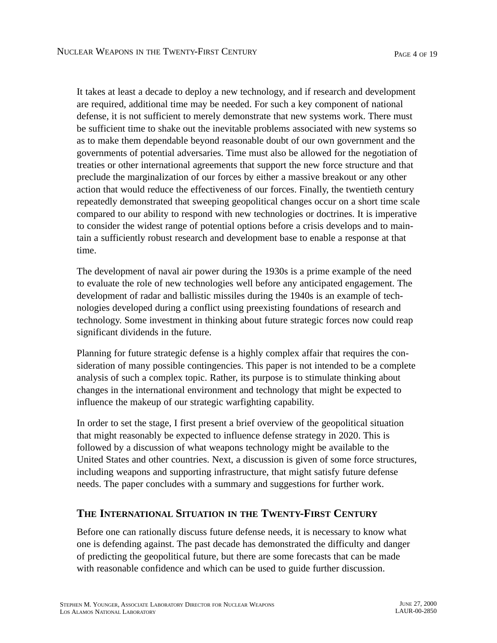It takes at least a decade to deploy a new technology, and if research and development are required, additional time may be needed. For such a key component of national defense, it is not sufficient to merely demonstrate that new systems work. There must be sufficient time to shake out the inevitable problems associated with new systems so as to make them dependable beyond reasonable doubt of our own government and the governments of potential adversaries. Time must also be allowed for the negotiation of treaties or other international agreements that support the new force structure and that preclude the marginalization of our forces by either a massive breakout or any other action that would reduce the effectiveness of our forces. Finally, the twentieth century repeatedly demonstrated that sweeping geopolitical changes occur on a short time scale compared to our ability to respond with new technologies or doctrines. It is imperative to consider the widest range of potential options before a crisis develops and to maintain a sufficiently robust research and development base to enable a response at that time.

The development of naval air power during the 1930s is a prime example of the need to evaluate the role of new technologies well before any anticipated engagement. The development of radar and ballistic missiles during the 1940s is an example of technologies developed during a conflict using preexisting foundations of research and technology. Some investment in thinking about future strategic forces now could reap significant dividends in the future.

Planning for future strategic defense is a highly complex affair that requires the consideration of many possible contingencies. This paper is not intended to be a complete analysis of such a complex topic. Rather, its purpose is to stimulate thinking about changes in the international environment and technology that might be expected to influence the makeup of our strategic warfighting capability.

In order to set the stage, I first present a brief overview of the geopolitical situation that might reasonably be expected to influence defense strategy in 2020. This is followed by a discussion of what weapons technology might be available to the United States and other countries. Next, a discussion is given of some force structures, including weapons and supporting infrastructure, that might satisfy future defense needs. The paper concludes with a summary and suggestions for further work.

## **THE INTERNATIONAL SITUATION IN THE TWENTY-FIRST CENTURY**

Before one can rationally discuss future defense needs, it is necessary to know what one is defending against. The past decade has demonstrated the difficulty and danger of predicting the geopolitical future, but there are some forecasts that can be made with reasonable confidence and which can be used to guide further discussion.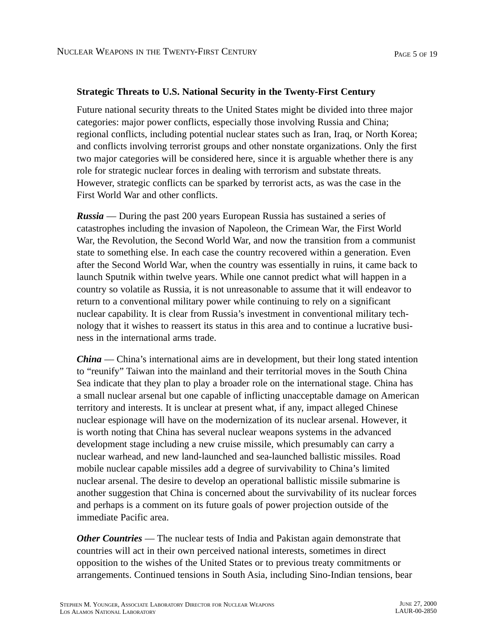#### **Strategic Threats to U.S. National Security in the Twenty-First Century**

Future national security threats to the United States might be divided into three major categories: major power conflicts, especially those involving Russia and China; regional conflicts, including potential nuclear states such as Iran, Iraq, or North Korea; and conflicts involving terrorist groups and other nonstate organizations. Only the first two major categories will be considered here, since it is arguable whether there is any role for strategic nuclear forces in dealing with terrorism and substate threats. However, strategic conflicts can be sparked by terrorist acts, as was the case in the First World War and other conflicts.

*Russia* — During the past 200 years European Russia has sustained a series of catastrophes including the invasion of Napoleon, the Crimean War, the First World War, the Revolution, the Second World War, and now the transition from a communist state to something else. In each case the country recovered within a generation. Even after the Second World War, when the country was essentially in ruins, it came back to launch Sputnik within twelve years. While one cannot predict what will happen in a country so volatile as Russia, it is not unreasonable to assume that it will endeavor to return to a conventional military power while continuing to rely on a significant nuclear capability. It is clear from Russia's investment in conventional military technology that it wishes to reassert its status in this area and to continue a lucrative business in the international arms trade.

*China* — China's international aims are in development, but their long stated intention to "reunify" Taiwan into the mainland and their territorial moves in the South China Sea indicate that they plan to play a broader role on the international stage. China has a small nuclear arsenal but one capable of inflicting unacceptable damage on American territory and interests. It is unclear at present what, if any, impact alleged Chinese nuclear espionage will have on the modernization of its nuclear arsenal. However, it is worth noting that China has several nuclear weapons systems in the advanced development stage including a new cruise missile, which presumably can carry a nuclear warhead, and new land-launched and sea-launched ballistic missiles. Road mobile nuclear capable missiles add a degree of survivability to China's limited nuclear arsenal. The desire to develop an operational ballistic missile submarine is another suggestion that China is concerned about the survivability of its nuclear forces and perhaps is a comment on its future goals of power projection outside of the immediate Pacific area.

*Other Countries* — The nuclear tests of India and Pakistan again demonstrate that countries will act in their own perceived national interests, sometimes in direct opposition to the wishes of the United States or to previous treaty commitments or arrangements. Continued tensions in South Asia, including Sino-Indian tensions, bear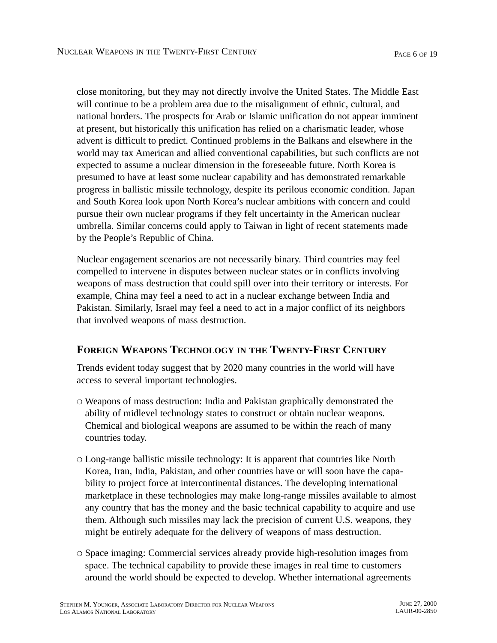close monitoring, but they may not directly involve the United States. The Middle East will continue to be a problem area due to the misalignment of ethnic, cultural, and national borders. The prospects for Arab or Islamic unification do not appear imminent at present, but historically this unification has relied on a charismatic leader, whose advent is difficult to predict. Continued problems in the Balkans and elsewhere in the world may tax American and allied conventional capabilities, but such conflicts are not expected to assume a nuclear dimension in the foreseeable future. North Korea is presumed to have at least some nuclear capability and has demonstrated remarkable progress in ballistic missile technology, despite its perilous economic condition. Japan and South Korea look upon North Korea's nuclear ambitions with concern and could pursue their own nuclear programs if they felt uncertainty in the American nuclear umbrella. Similar concerns could apply to Taiwan in light of recent statements made by the People's Republic of China.

Nuclear engagement scenarios are not necessarily binary. Third countries may feel compelled to intervene in disputes between nuclear states or in conflicts involving weapons of mass destruction that could spill over into their territory or interests. For example, China may feel a need to act in a nuclear exchange between India and Pakistan. Similarly, Israel may feel a need to act in a major conflict of its neighbors that involved weapons of mass destruction.

# **FOREIGN WEAPONS TECHNOLOGY IN THE TWENTY-FIRST CENTURY**

Trends evident today suggest that by 2020 many countries in the world will have access to several important technologies.

- ❍ Weapons of mass destruction: India and Pakistan graphically demonstrated the ability of midlevel technology states to construct or obtain nuclear weapons. Chemical and biological weapons are assumed to be within the reach of many countries today.
- ❍ Long-range ballistic missile technology: It is apparent that countries like North Korea, Iran, India, Pakistan, and other countries have or will soon have the capability to project force at intercontinental distances. The developing international marketplace in these technologies may make long-range missiles available to almost any country that has the money and the basic technical capability to acquire and use them. Although such missiles may lack the precision of current U.S. weapons, they might be entirely adequate for the delivery of weapons of mass destruction.
- ❍ Space imaging: Commercial services already provide high-resolution images from space. The technical capability to provide these images in real time to customers around the world should be expected to develop. Whether international agreements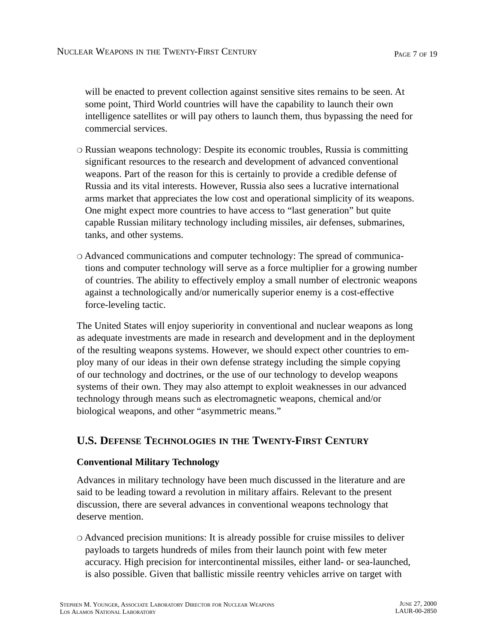will be enacted to prevent collection against sensitive sites remains to be seen. At some point, Third World countries will have the capability to launch their own intelligence satellites or will pay others to launch them, thus bypassing the need for commercial services.

- ❍ Russian weapons technology: Despite its economic troubles, Russia is committing significant resources to the research and development of advanced conventional weapons. Part of the reason for this is certainly to provide a credible defense of Russia and its vital interests. However, Russia also sees a lucrative international arms market that appreciates the low cost and operational simplicity of its weapons. One might expect more countries to have access to "last generation" but quite capable Russian military technology including missiles, air defenses, submarines, tanks, and other systems.
- ❍ Advanced communications and computer technology: The spread of communications and computer technology will serve as a force multiplier for a growing number of countries. The ability to effectively employ a small number of electronic weapons against a technologically and/or numerically superior enemy is a cost-effective force-leveling tactic.

The United States will enjoy superiority in conventional and nuclear weapons as long as adequate investments are made in research and development and in the deployment of the resulting weapons systems. However, we should expect other countries to employ many of our ideas in their own defense strategy including the simple copying of our technology and doctrines, or the use of our technology to develop weapons systems of their own. They may also attempt to exploit weaknesses in our advanced technology through means such as electromagnetic weapons, chemical and/or biological weapons, and other "asymmetric means."

# **U.S. DEFENSE TECHNOLOGIES IN THE TWENTY-FIRST CENTURY**

### **Conventional Military Technology**

Advances in military technology have been much discussed in the literature and are said to be leading toward a revolution in military affairs. Relevant to the present discussion, there are several advances in conventional weapons technology that deserve mention.

❍ Advanced precision munitions: It is already possible for cruise missiles to deliver payloads to targets hundreds of miles from their launch point with few meter accuracy. High precision for intercontinental missiles, either land- or sea-launched, is also possible. Given that ballistic missile reentry vehicles arrive on target with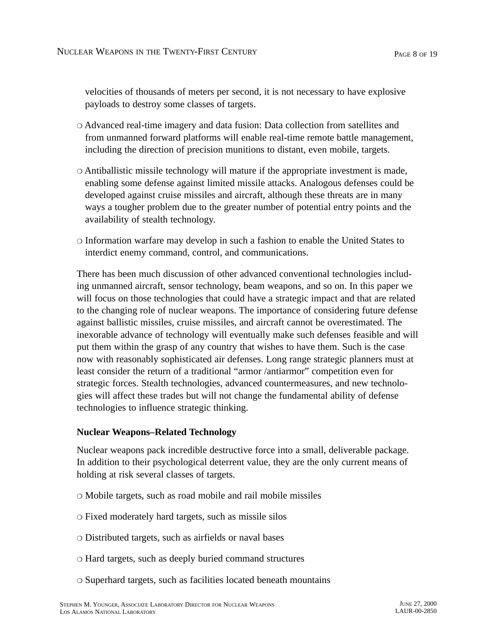velocities of thousands of meters per second, it is not necessary to have explosive payloads to destroy some classes of targets.

- ❍ Advanced real-time imagery and data fusion: Data collection from satellites and from unmanned forward platforms will enable real-time remote battle management, including the direction of precision munitions to distant, even mobile, targets.
- ❍ Antiballistic missile technology will mature if the appropriate investment is made, enabling some defense against limited missile attacks. Analogous defenses could be developed against cruise missiles and aircraft, although these threats are in many ways a tougher problem due to the greater number of potential entry points and the availability of stealth technology.
- ❍ Information warfare may develop in such a fashion to enable the United States to interdict enemy command, control, and communications.

There has been much discussion of other advanced conventional technologies including unmanned aircraft, sensor technology, beam weapons, and so on. In this paper we will focus on those technologies that could have a strategic impact and that are related to the changing role of nuclear weapons. The importance of considering future defense against ballistic missiles, cruise missiles, and aircraft cannot be overestimated. The inexorable advance of technology will eventually make such defenses feasible and will put them within the grasp of any country that wishes to have them. Such is the case now with reasonably sophisticated air defenses. Long range strategic planners must at least consider the return of a traditional "armor /antiarmor" competition even for strategic forces. Stealth technologies, advanced countermeasures, and new technologies will affect these trades but will not change the fundamental ability of defense technologies to influence strategic thinking.

### **Nuclear Weapons–Related Technology**

Nuclear weapons pack incredible destructive force into a small, deliverable package. In addition to their psychological deterrent value, they are the only current means of holding at risk several classes of targets.

- ❍ Mobile targets, such as road mobile and rail mobile missiles
- ❍ Fixed moderately hard targets, such as missile silos
- ❍ Distributed targets, such as airfields or naval bases
- ❍ Hard targets, such as deeply buried command structures
- ❍ Superhard targets, such as facilities located beneath mountains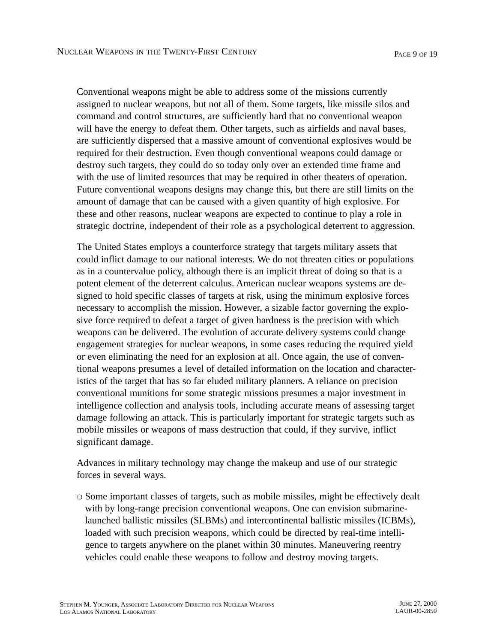Conventional weapons might be able to address some of the missions currently assigned to nuclear weapons, but not all of them. Some targets, like missile silos and command and control structures, are sufficiently hard that no conventional weapon will have the energy to defeat them. Other targets, such as airfields and naval bases, are sufficiently dispersed that a massive amount of conventional explosives would be required for their destruction. Even though conventional weapons could damage or destroy such targets, they could do so today only over an extended time frame and with the use of limited resources that may be required in other theaters of operation. Future conventional weapons designs may change this, but there are still limits on the amount of damage that can be caused with a given quantity of high explosive. For these and other reasons, nuclear weapons are expected to continue to play a role in strategic doctrine, independent of their role as a psychological deterrent to aggression.

The United States employs a counterforce strategy that targets military assets that could inflict damage to our national interests. We do not threaten cities or populations as in a countervalue policy, although there is an implicit threat of doing so that is a potent element of the deterrent calculus. American nuclear weapons systems are designed to hold specific classes of targets at risk, using the minimum explosive forces necessary to accomplish the mission. However, a sizable factor governing the explosive force required to defeat a target of given hardness is the precision with which weapons can be delivered. The evolution of accurate delivery systems could change engagement strategies for nuclear weapons, in some cases reducing the required yield or even eliminating the need for an explosion at all. Once again, the use of conventional weapons presumes a level of detailed information on the location and characteristics of the target that has so far eluded military planners. A reliance on precision conventional munitions for some strategic missions presumes a major investment in intelligence collection and analysis tools, including accurate means of assessing target damage following an attack. This is particularly important for strategic targets such as mobile missiles or weapons of mass destruction that could, if they survive, inflict significant damage.

Advances in military technology may change the makeup and use of our strategic forces in several ways.

❍ Some important classes of targets, such as mobile missiles, might be effectively dealt with by long-range precision conventional weapons. One can envision submarinelaunched ballistic missiles (SLBMs) and intercontinental ballistic missiles (ICBMs), loaded with such precision weapons, which could be directed by real-time intelligence to targets anywhere on the planet within 30 minutes. Maneuvering reentry vehicles could enable these weapons to follow and destroy moving targets.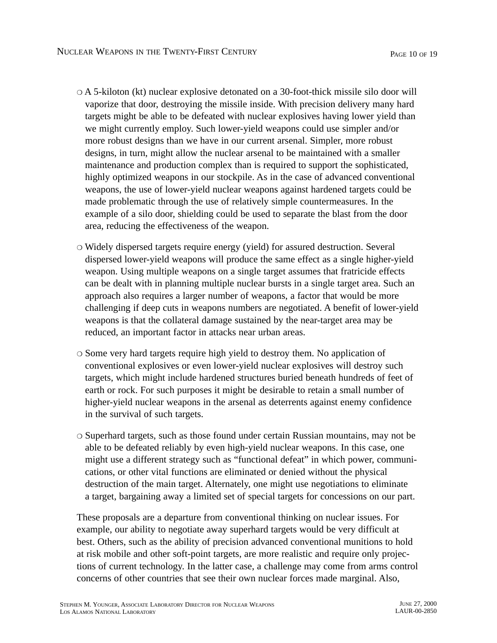- ❍ A 5-kiloton (kt) nuclear explosive detonated on a 30-foot-thick missile silo door will vaporize that door, destroying the missile inside. With precision delivery many hard targets might be able to be defeated with nuclear explosives having lower yield than we might currently employ. Such lower-yield weapons could use simpler and/or more robust designs than we have in our current arsenal. Simpler, more robust designs, in turn, might allow the nuclear arsenal to be maintained with a smaller maintenance and production complex than is required to support the sophisticated, highly optimized weapons in our stockpile. As in the case of advanced conventional weapons, the use of lower-yield nuclear weapons against hardened targets could be made problematic through the use of relatively simple countermeasures. In the example of a silo door, shielding could be used to separate the blast from the door area, reducing the effectiveness of the weapon.
- ❍ Widely dispersed targets require energy (yield) for assured destruction. Several dispersed lower-yield weapons will produce the same effect as a single higher-yield weapon. Using multiple weapons on a single target assumes that fratricide effects can be dealt with in planning multiple nuclear bursts in a single target area. Such an approach also requires a larger number of weapons, a factor that would be more challenging if deep cuts in weapons numbers are negotiated. A benefit of lower-yield weapons is that the collateral damage sustained by the near-target area may be reduced, an important factor in attacks near urban areas.
- ❍ Some very hard targets require high yield to destroy them. No application of conventional explosives or even lower-yield nuclear explosives will destroy such targets, which might include hardened structures buried beneath hundreds of feet of earth or rock. For such purposes it might be desirable to retain a small number of higher-yield nuclear weapons in the arsenal as deterrents against enemy confidence in the survival of such targets.
- ❍ Superhard targets, such as those found under certain Russian mountains, may not be able to be defeated reliably by even high-yield nuclear weapons. In this case, one might use a different strategy such as "functional defeat" in which power, communications, or other vital functions are eliminated or denied without the physical destruction of the main target. Alternately, one might use negotiations to eliminate a target, bargaining away a limited set of special targets for concessions on our part.

These proposals are a departure from conventional thinking on nuclear issues. For example, our ability to negotiate away superhard targets would be very difficult at best. Others, such as the ability of precision advanced conventional munitions to hold at risk mobile and other soft-point targets, are more realistic and require only projections of current technology. In the latter case, a challenge may come from arms control concerns of other countries that see their own nuclear forces made marginal. Also,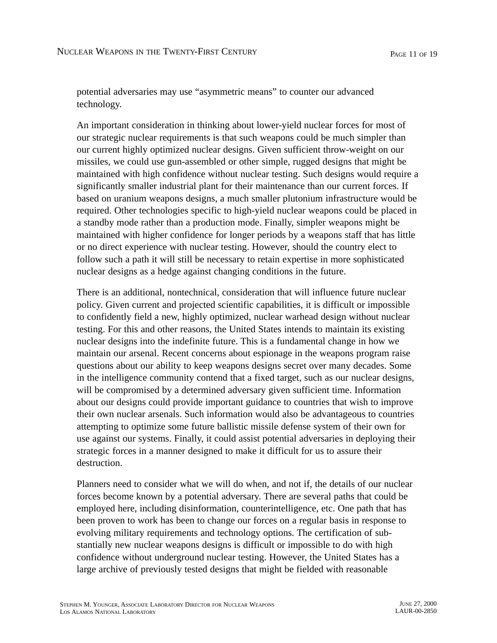potential adversaries may use "asymmetric means" to counter our advanced technology.

An important consideration in thinking about lower-yield nuclear forces for most of our strategic nuclear requirements is that such weapons could be much simpler than our current highly optimized nuclear designs. Given sufficient throw-weight on our missiles, we could use gun-assembled or other simple, rugged designs that might be maintained with high confidence without nuclear testing. Such designs would require a significantly smaller industrial plant for their maintenance than our current forces. If based on uranium weapons designs, a much smaller plutonium infrastructure would be required. Other technologies specific to high-yield nuclear weapons could be placed in a standby mode rather than a production mode. Finally, simpler weapons might be maintained with higher confidence for longer periods by a weapons staff that has little or no direct experience with nuclear testing. However, should the country elect to follow such a path it will still be necessary to retain expertise in more sophisticated nuclear designs as a hedge against changing conditions in the future.

There is an additional, nontechnical, consideration that will influence future nuclear policy. Given current and projected scientific capabilities, it is difficult or impossible to confidently field a new, highly optimized, nuclear warhead design without nuclear testing. For this and other reasons, the United States intends to maintain its existing nuclear designs into the indefinite future. This is a fundamental change in how we maintain our arsenal. Recent concerns about espionage in the weapons program raise questions about our ability to keep weapons designs secret over many decades. Some in the intelligence community contend that a fixed target, such as our nuclear designs, will be compromised by a determined adversary given sufficient time. Information about our designs could provide important guidance to countries that wish to improve their own nuclear arsenals. Such information would also be advantageous to countries attempting to optimize some future ballistic missile defense system of their own for use against our systems. Finally, it could assist potential adversaries in deploying their strategic forces in a manner designed to make it difficult for us to assure their destruction.

Planners need to consider what we will do when, and not if, the details of our nuclear forces become known by a potential adversary. There are several paths that could be employed here, including disinformation, counterintelligence, etc. One path that has been proven to work has been to change our forces on a regular basis in response to evolving military requirements and technology options. The certification of substantially new nuclear weapons designs is difficult or impossible to do with high confidence without underground nuclear testing. However, the United States has a large archive of previously tested designs that might be fielded with reasonable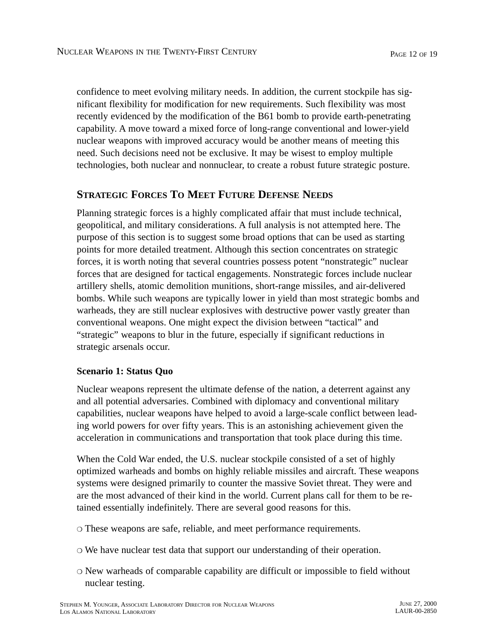confidence to meet evolving military needs. In addition, the current stockpile has significant flexibility for modification for new requirements. Such flexibility was most recently evidenced by the modification of the B61 bomb to provide earth-penetrating capability. A move toward a mixed force of long-range conventional and lower-yield nuclear weapons with improved accuracy would be another means of meeting this need. Such decisions need not be exclusive. It may be wisest to employ multiple technologies, both nuclear and nonnuclear, to create a robust future strategic posture.

## **STRATEGIC FORCES TO MEET FUTURE DEFENSE NEEDS**

Planning strategic forces is a highly complicated affair that must include technical, geopolitical, and military considerations. A full analysis is not attempted here. The purpose of this section is to suggest some broad options that can be used as starting points for more detailed treatment. Although this section concentrates on strategic forces, it is worth noting that several countries possess potent "nonstrategic" nuclear forces that are designed for tactical engagements. Nonstrategic forces include nuclear artillery shells, atomic demolition munitions, short-range missiles, and air-delivered bombs. While such weapons are typically lower in yield than most strategic bombs and warheads, they are still nuclear explosives with destructive power vastly greater than conventional weapons. One might expect the division between "tactical" and "strategic" weapons to blur in the future, especially if significant reductions in strategic arsenals occur.

#### **Scenario 1: Status Quo**

Nuclear weapons represent the ultimate defense of the nation, a deterrent against any and all potential adversaries. Combined with diplomacy and conventional military capabilities, nuclear weapons have helped to avoid a large-scale conflict between leading world powers for over fifty years. This is an astonishing achievement given the acceleration in communications and transportation that took place during this time.

When the Cold War ended, the U.S. nuclear stockpile consisted of a set of highly optimized warheads and bombs on highly reliable missiles and aircraft. These weapons systems were designed primarily to counter the massive Soviet threat. They were and are the most advanced of their kind in the world. Current plans call for them to be retained essentially indefinitely. There are several good reasons for this.

❍ These weapons are safe, reliable, and meet performance requirements.

- ❍ We have nuclear test data that support our understanding of their operation.
- ❍ New warheads of comparable capability are difficult or impossible to field without nuclear testing.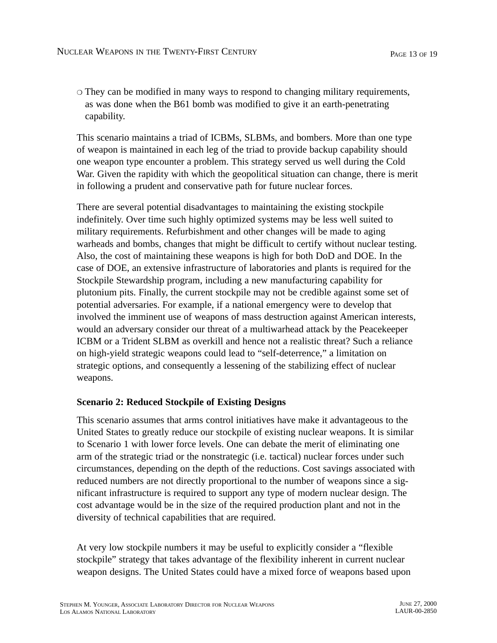❍ They can be modified in many ways to respond to changing military requirements, as was done when the B61 bomb was modified to give it an earth-penetrating capability.

This scenario maintains a triad of ICBMs, SLBMs, and bombers. More than one type of weapon is maintained in each leg of the triad to provide backup capability should one weapon type encounter a problem. This strategy served us well during the Cold War. Given the rapidity with which the geopolitical situation can change, there is merit in following a prudent and conservative path for future nuclear forces.

There are several potential disadvantages to maintaining the existing stockpile indefinitely. Over time such highly optimized systems may be less well suited to military requirements. Refurbishment and other changes will be made to aging warheads and bombs, changes that might be difficult to certify without nuclear testing. Also, the cost of maintaining these weapons is high for both DoD and DOE. In the case of DOE, an extensive infrastructure of laboratories and plants is required for the Stockpile Stewardship program, including a new manufacturing capability for plutonium pits. Finally, the current stockpile may not be credible against some set of potential adversaries. For example, if a national emergency were to develop that involved the imminent use of weapons of mass destruction against American interests, would an adversary consider our threat of a multiwarhead attack by the Peacekeeper ICBM or a Trident SLBM as overkill and hence not a realistic threat? Such a reliance on high-yield strategic weapons could lead to "self-deterrence," a limitation on strategic options, and consequently a lessening of the stabilizing effect of nuclear weapons.

### **Scenario 2: Reduced Stockpile of Existing Designs**

This scenario assumes that arms control initiatives have make it advantageous to the United States to greatly reduce our stockpile of existing nuclear weapons. It is similar to Scenario 1 with lower force levels. One can debate the merit of eliminating one arm of the strategic triad or the nonstrategic (i.e. tactical) nuclear forces under such circumstances, depending on the depth of the reductions. Cost savings associated with reduced numbers are not directly proportional to the number of weapons since a significant infrastructure is required to support any type of modern nuclear design. The cost advantage would be in the size of the required production plant and not in the diversity of technical capabilities that are required.

At very low stockpile numbers it may be useful to explicitly consider a "flexible stockpile" strategy that takes advantage of the flexibility inherent in current nuclear weapon designs. The United States could have a mixed force of weapons based upon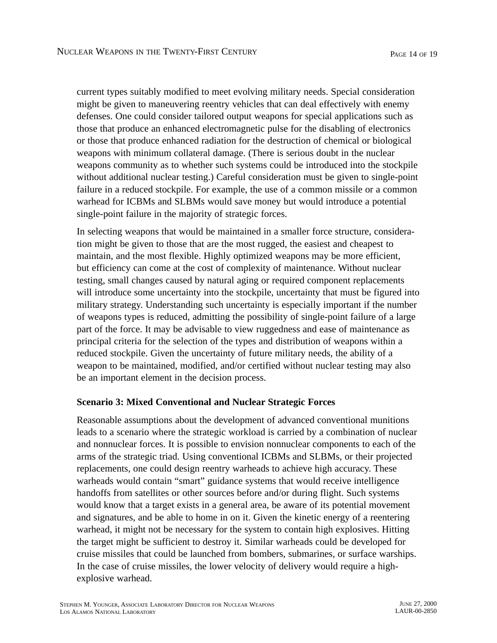current types suitably modified to meet evolving military needs. Special consideration might be given to maneuvering reentry vehicles that can deal effectively with enemy defenses. One could consider tailored output weapons for special applications such as those that produce an enhanced electromagnetic pulse for the disabling of electronics or those that produce enhanced radiation for the destruction of chemical or biological weapons with minimum collateral damage. (There is serious doubt in the nuclear weapons community as to whether such systems could be introduced into the stockpile without additional nuclear testing.) Careful consideration must be given to single-point failure in a reduced stockpile. For example, the use of a common missile or a common warhead for ICBMs and SLBMs would save money but would introduce a potential single-point failure in the majority of strategic forces.

In selecting weapons that would be maintained in a smaller force structure, consideration might be given to those that are the most rugged, the easiest and cheapest to maintain, and the most flexible. Highly optimized weapons may be more efficient, but efficiency can come at the cost of complexity of maintenance. Without nuclear testing, small changes caused by natural aging or required component replacements will introduce some uncertainty into the stockpile, uncertainty that must be figured into military strategy. Understanding such uncertainty is especially important if the number of weapons types is reduced, admitting the possibility of single-point failure of a large part of the force. It may be advisable to view ruggedness and ease of maintenance as principal criteria for the selection of the types and distribution of weapons within a reduced stockpile. Given the uncertainty of future military needs, the ability of a weapon to be maintained, modified, and/or certified without nuclear testing may also be an important element in the decision process.

#### **Scenario 3: Mixed Conventional and Nuclear Strategic Forces**

Reasonable assumptions about the development of advanced conventional munitions leads to a scenario where the strategic workload is carried by a combination of nuclear and nonnuclear forces. It is possible to envision nonnuclear components to each of the arms of the strategic triad. Using conventional ICBMs and SLBMs, or their projected replacements, one could design reentry warheads to achieve high accuracy. These warheads would contain "smart" guidance systems that would receive intelligence handoffs from satellites or other sources before and/or during flight. Such systems would know that a target exists in a general area, be aware of its potential movement and signatures, and be able to home in on it. Given the kinetic energy of a reentering warhead, it might not be necessary for the system to contain high explosives. Hitting the target might be sufficient to destroy it. Similar warheads could be developed for cruise missiles that could be launched from bombers, submarines, or surface warships. In the case of cruise missiles, the lower velocity of delivery would require a highexplosive warhead.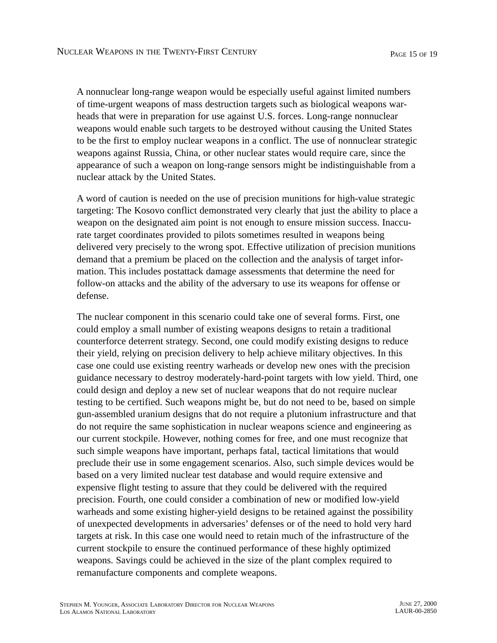A nonnuclear long-range weapon would be especially useful against limited numbers of time-urgent weapons of mass destruction targets such as biological weapons warheads that were in preparation for use against U.S. forces. Long-range nonnuclear weapons would enable such targets to be destroyed without causing the United States to be the first to employ nuclear weapons in a conflict. The use of nonnuclear strategic weapons against Russia, China, or other nuclear states would require care, since the appearance of such a weapon on long-range sensors might be indistinguishable from a nuclear attack by the United States.

A word of caution is needed on the use of precision munitions for high-value strategic targeting: The Kosovo conflict demonstrated very clearly that just the ability to place a weapon on the designated aim point is not enough to ensure mission success. Inaccurate target coordinates provided to pilots sometimes resulted in weapons being delivered very precisely to the wrong spot. Effective utilization of precision munitions demand that a premium be placed on the collection and the analysis of target information. This includes postattack damage assessments that determine the need for follow-on attacks and the ability of the adversary to use its weapons for offense or defense.

The nuclear component in this scenario could take one of several forms. First, one could employ a small number of existing weapons designs to retain a traditional counterforce deterrent strategy. Second, one could modify existing designs to reduce their yield, relying on precision delivery to help achieve military objectives. In this case one could use existing reentry warheads or develop new ones with the precision guidance necessary to destroy moderately-hard-point targets with low yield. Third, one could design and deploy a new set of nuclear weapons that do not require nuclear testing to be certified. Such weapons might be, but do not need to be, based on simple gun-assembled uranium designs that do not require a plutonium infrastructure and that do not require the same sophistication in nuclear weapons science and engineering as our current stockpile. However, nothing comes for free, and one must recognize that such simple weapons have important, perhaps fatal, tactical limitations that would preclude their use in some engagement scenarios. Also, such simple devices would be based on a very limited nuclear test database and would require extensive and expensive flight testing to assure that they could be delivered with the required precision. Fourth, one could consider a combination of new or modified low-yield warheads and some existing higher-yield designs to be retained against the possibility of unexpected developments in adversaries' defenses or of the need to hold very hard targets at risk. In this case one would need to retain much of the infrastructure of the current stockpile to ensure the continued performance of these highly optimized weapons. Savings could be achieved in the size of the plant complex required to remanufacture components and complete weapons.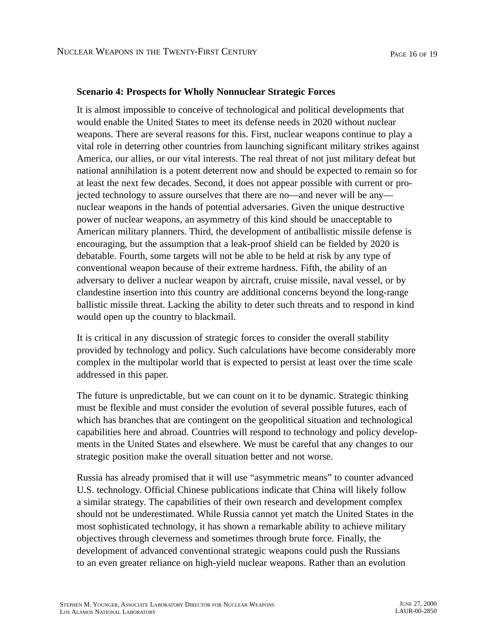#### **Scenario 4: Prospects for Wholly Nonnuclear Strategic Forces**

It is almost impossible to conceive of technological and political developments that would enable the United States to meet its defense needs in 2020 without nuclear weapons. There are several reasons for this. First, nuclear weapons continue to play a vital role in deterring other countries from launching significant military strikes against America, our allies, or our vital interests. The real threat of not just military defeat but national annihilation is a potent deterrent now and should be expected to remain so for at least the next few decades. Second, it does not appear possible with current or projected technology to assure ourselves that there are no—and never will be any nuclear weapons in the hands of potential adversaries. Given the unique destructive power of nuclear weapons, an asymmetry of this kind should be unacceptable to American military planners. Third, the development of antiballistic missile defense is encouraging, but the assumption that a leak-proof shield can be fielded by 2020 is debatable. Fourth, some targets will not be able to be held at risk by any type of conventional weapon because of their extreme hardness. Fifth, the ability of an adversary to deliver a nuclear weapon by aircraft, cruise missile, naval vessel, or by clandestine insertion into this country are additional concerns beyond the long-range ballistic missile threat. Lacking the ability to deter such threats and to respond in kind would open up the country to blackmail.

It is critical in any discussion of strategic forces to consider the overall stability provided by technology and policy. Such calculations have become considerably more complex in the multipolar world that is expected to persist at least over the time scale addressed in this paper.

The future is unpredictable, but we can count on it to be dynamic. Strategic thinking must be flexible and must consider the evolution of several possible futures, each of which has branches that are contingent on the geopolitical situation and technological capabilities here and abroad. Countries will respond to technology and policy developments in the United States and elsewhere. We must be careful that any changes to our strategic position make the overall situation better and not worse.

Russia has already promised that it will use "asymmetric means" to counter advanced U.S. technology. Official Chinese publications indicate that China will likely follow a similar strategy. The capabilities of their own research and development complex should not be underestimated. While Russia cannot yet match the United States in the most sophisticated technology, it has shown a remarkable ability to achieve military objectives through cleverness and sometimes through brute force. Finally, the development of advanced conventional strategic weapons could push the Russians to an even greater reliance on high-yield nuclear weapons. Rather than an evolution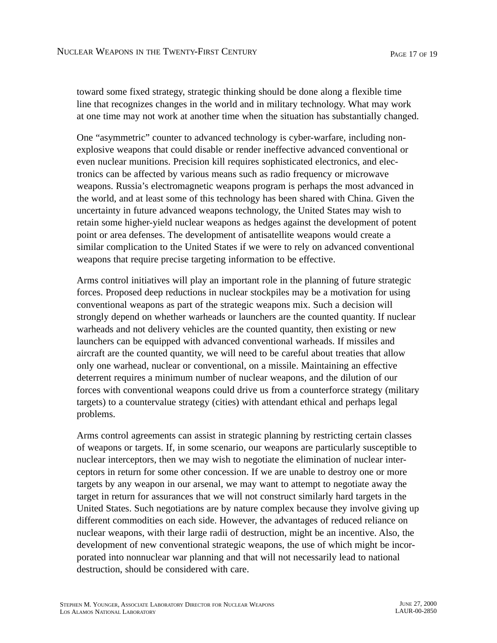toward some fixed strategy, strategic thinking should be done along a flexible time line that recognizes changes in the world and in military technology. What may work at one time may not work at another time when the situation has substantially changed.

One "asymmetric" counter to advanced technology is cyber-warfare, including nonexplosive weapons that could disable or render ineffective advanced conventional or even nuclear munitions. Precision kill requires sophisticated electronics, and electronics can be affected by various means such as radio frequency or microwave weapons. Russia's electromagnetic weapons program is perhaps the most advanced in the world, and at least some of this technology has been shared with China. Given the uncertainty in future advanced weapons technology, the United States may wish to retain some higher-yield nuclear weapons as hedges against the development of potent point or area defenses. The development of antisatellite weapons would create a similar complication to the United States if we were to rely on advanced conventional weapons that require precise targeting information to be effective.

Arms control initiatives will play an important role in the planning of future strategic forces. Proposed deep reductions in nuclear stockpiles may be a motivation for using conventional weapons as part of the strategic weapons mix. Such a decision will strongly depend on whether warheads or launchers are the counted quantity. If nuclear warheads and not delivery vehicles are the counted quantity, then existing or new launchers can be equipped with advanced conventional warheads. If missiles and aircraft are the counted quantity, we will need to be careful about treaties that allow only one warhead, nuclear or conventional, on a missile. Maintaining an effective deterrent requires a minimum number of nuclear weapons, and the dilution of our forces with conventional weapons could drive us from a counterforce strategy (military targets) to a countervalue strategy (cities) with attendant ethical and perhaps legal problems.

Arms control agreements can assist in strategic planning by restricting certain classes of weapons or targets. If, in some scenario, our weapons are particularly susceptible to nuclear interceptors, then we may wish to negotiate the elimination of nuclear interceptors in return for some other concession. If we are unable to destroy one or more targets by any weapon in our arsenal, we may want to attempt to negotiate away the target in return for assurances that we will not construct similarly hard targets in the United States. Such negotiations are by nature complex because they involve giving up different commodities on each side. However, the advantages of reduced reliance on nuclear weapons, with their large radii of destruction, might be an incentive. Also, the development of new conventional strategic weapons, the use of which might be incorporated into nonnuclear war planning and that will not necessarily lead to national destruction, should be considered with care.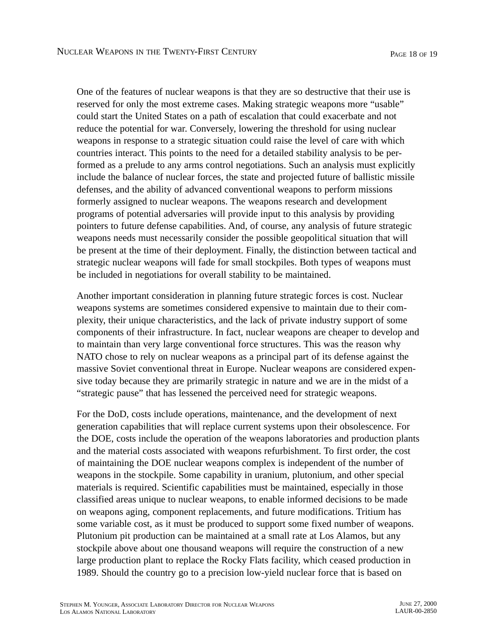One of the features of nuclear weapons is that they are so destructive that their use is reserved for only the most extreme cases. Making strategic weapons more "usable" could start the United States on a path of escalation that could exacerbate and not reduce the potential for war. Conversely, lowering the threshold for using nuclear weapons in response to a strategic situation could raise the level of care with which countries interact. This points to the need for a detailed stability analysis to be performed as a prelude to any arms control negotiations. Such an analysis must explicitly include the balance of nuclear forces, the state and projected future of ballistic missile defenses, and the ability of advanced conventional weapons to perform missions formerly assigned to nuclear weapons. The weapons research and development programs of potential adversaries will provide input to this analysis by providing pointers to future defense capabilities. And, of course, any analysis of future strategic weapons needs must necessarily consider the possible geopolitical situation that will be present at the time of their deployment. Finally, the distinction between tactical and strategic nuclear weapons will fade for small stockpiles. Both types of weapons must be included in negotiations for overall stability to be maintained.

Another important consideration in planning future strategic forces is cost. Nuclear weapons systems are sometimes considered expensive to maintain due to their complexity, their unique characteristics, and the lack of private industry support of some components of their infrastructure. In fact, nuclear weapons are cheaper to develop and to maintain than very large conventional force structures. This was the reason why NATO chose to rely on nuclear weapons as a principal part of its defense against the massive Soviet conventional threat in Europe. Nuclear weapons are considered expensive today because they are primarily strategic in nature and we are in the midst of a "strategic pause" that has lessened the perceived need for strategic weapons.

For the DoD, costs include operations, maintenance, and the development of next generation capabilities that will replace current systems upon their obsolescence. For the DOE, costs include the operation of the weapons laboratories and production plants and the material costs associated with weapons refurbishment. To first order, the cost of maintaining the DOE nuclear weapons complex is independent of the number of weapons in the stockpile. Some capability in uranium, plutonium, and other special materials is required. Scientific capabilities must be maintained, especially in those classified areas unique to nuclear weapons, to enable informed decisions to be made on weapons aging, component replacements, and future modifications. Tritium has some variable cost, as it must be produced to support some fixed number of weapons. Plutonium pit production can be maintained at a small rate at Los Alamos, but any stockpile above about one thousand weapons will require the construction of a new large production plant to replace the Rocky Flats facility, which ceased production in 1989. Should the country go to a precision low-yield nuclear force that is based on